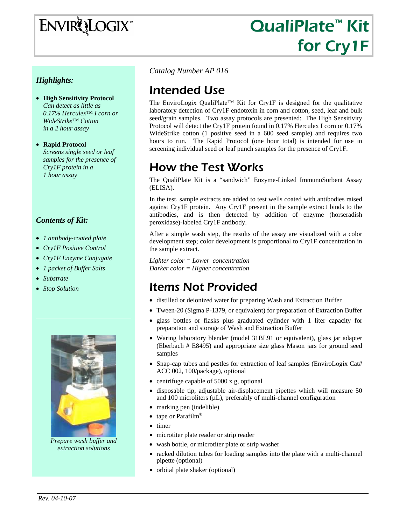# ENVIRQLOGIX

# QualiPlate<sup>™</sup> Kit for Cry1F

# *Highlights:*

- **High Sensitivity Protocol** *Can detect as little as 0.17% Herculex™ I corn or WideStrike™ Cotton in a 2 hour assay*
- **Rapid Protocol**  *Screens single seed or leaf samples for the presence of Cry1F protein in a 1 hour assay*

### *Contents of Kit:*

- *1 antibody-coated plate*
- *Cry1F Positive Control*
- *Cry1F Enzyme Conjugate*
- *1 packet of Buffer Salts*
- *Substrate*
- *Stop Solution*



*Prepare wash buffer and extraction solutions* 

*Catalog Number AP 016* 

# Intended Use

The EnviroLogix QualiPlate™ Kit for Cry1F is designed for the qualitative laboratory detection of Cry1F endotoxin in corn and cotton, seed, leaf and bulk seed/grain samples. Two assay protocols are presented: The High Sensitivity Protocol will detect the Cry1F protein found in 0.17% Herculex I corn or 0.17% WideStrike cotton (1 positive seed in a 600 seed sample) and requires two hours to run. The Rapid Protocol (one hour total) is intended for use in screening individual seed or leaf punch samples for the presence of Cry1F.

# How the Test Works

The QualiPlate Kit is a "sandwich" Enzyme-Linked ImmunoSorbent Assay (ELISA).

In the test, sample extracts are added to test wells coated with antibodies raised against Cry1F protein. Any Cry1F present in the sample extract binds to the antibodies, and is then detected by addition of enzyme (horseradish peroxidase)-labeled Cry1F antibody.

After a simple wash step, the results of the assay are visualized with a color development step; color development is proportional to Cry1F concentration in the sample extract.

*Lighter color = Lower concentration Darker color = Higher concentration* 

# Items Not Provided

- distilled or deionized water for preparing Wash and Extraction Buffer
- Tween-20 (Sigma P-1379, or equivalent) for preparation of Extraction Buffer
- glass bottles or flasks plus graduated cylinder with 1 liter capacity for preparation and storage of Wash and Extraction Buffer
- Waring laboratory blender (model 31BL91 or equivalent), glass jar adapter (Eberbach # E8495) and appropriate size glass Mason jars for ground seed samples
- Snap-cap tubes and pestles for extraction of leaf samples (EnviroLogix Cat# ACC 002, 100/package), optional
- centrifuge capable of 5000 x g, optional
- disposable tip, adjustable air-displacement pipettes which will measure 50 and 100 microliters (µL), preferably of multi-channel configuration
- marking pen (indelible)
- tape or Parafilm<sup>®</sup>
- timer
- microtiter plate reader or strip reader
- wash bottle, or microtiter plate or strip washer
- racked dilution tubes for loading samples into the plate with a multi-channel pipette (optional)
- orbital plate shaker (optional)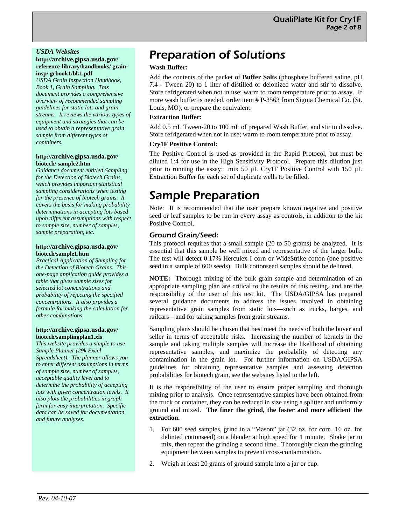#### *USDA Websites*

#### **http://archive.gipsa.usda.gov/ reference-library/handbooks/ graininsp/ grbook1/bk1.pdf**

*USDA Grain Inspection Handbook, Book 1, Grain Sampling. This document provides a comprehensive overview of recommended sampling guidelines for static lots and grain streams. It reviews the various types of equipment and strategies that can be used to obtain a representative grain sample from different types of containers.* 

#### **http://archive.gipsa.usda.gov/ biotech/ sample2.htm**

*Guidance document entitled Sampling for the Detection of Biotech Grains, which provides important statistical sampling considerations when testing for the presence of biotech grains. It covers the basis for making probability determinations in accepting lots based upon different assumptions with respect to sample size, number of samples, sample preparation, etc*.

#### **http://archive.gipsa.usda.gov/ biotech/sample1.htm**

*Practical Application of Sampling for the Detection of Biotech Grains. This one-page application guide provides a table that gives sample sizes for selected lot concentrations and probability of rejecting the specified concentrations. It also provides a formula for making the calculation for other combinations.* 

#### **http://archive.gipsa.usda.gov/ biotech/samplingplan1.xls**

*This website provides a simple to use Sample Planner (29k Excel Spreadsheet). The planner allows you to enter different assumptions in terms of sample size, number of samples, acceptable quality level and to determine the probability of accepting lots with given concentration levels. It also plots the probabilities in graph form for easy interpretation. Specific data can be saved for documentation and future analyses.* 

# Preparation of Solutions

### **Wash Buffer:**

Add the contents of the packet of **Buffer Salts** (phosphate buffered saline, pH 7.4 - Tween 20) to 1 liter of distilled or deionized water and stir to dissolve. Store refrigerated when not in use; warm to room temperature prior to assay. If more wash buffer is needed, order item # P-3563 from Sigma Chemical Co. (St. Louis, MO), or prepare the equivalent.

#### **Extraction Buffer:**

Add 0.5 mL Tween-20 to 100 mL of prepared Wash Buffer, and stir to dissolve. Store refrigerated when not in use; warm to room temperature prior to assay.

#### **Cry1F Positive Control:**

The Positive Control is used as provided in the Rapid Protocol, but must be diluted 1:4 for use in the High Sensitivity Protocol. Prepare this dilution just prior to running the assay: mix 50 µL Cry1F Positive Control with 150 µL Extraction Buffer for each set of duplicate wells to be filled.

# Sample Preparation

Note: It is recommended that the user prepare known negative and positive seed or leaf samples to be run in every assay as controls, in addition to the kit Positive Control.

### Ground Grain/Seed:

This protocol requires that a small sample (20 to 50 grams) be analyzed. It is essential that this sample be well mixed and representative of the larger bulk. The test will detect 0.17% Herculex I corn or WideStrike cotton (one positive seed in a sample of 600 seeds). Bulk cottonseed samples should be delinted.

**NOTE:** Thorough mixing of the bulk grain sample and determination of an appropriate sampling plan are critical to the results of this testing, and are the responsibility of the user of this test kit. The USDA/GIPSA has prepared several guidance documents to address the issues involved in obtaining representative grain samples from static lots—such as trucks, barges, and railcars—and for taking samples from grain streams.

Sampling plans should be chosen that best meet the needs of both the buyer and seller in terms of acceptable risks. Increasing the number of kernels in the sample and taking multiple samples will increase the likelihood of obtaining representative samples, and maximize the probability of detecting any contamination in the grain lot. For further information on USDA/GIPSA guidelines for obtaining representative samples and assessing detection probabilities for biotech grain, see the websites listed to the left.

It is the responsibility of the user to ensure proper sampling and thorough mixing prior to analysis. Once representative samples have been obtained from the truck or container, they can be reduced in size using a splitter and uniformly ground and mixed. **The finer the grind, the faster and more efficient the extraction.** 

- 1. For 600 seed samples, grind in a "Mason" jar (32 oz. for corn, 16 oz. for delinted cottonseed) on a blender at high speed for 1 minute. Shake jar to mix, then repeat the grinding a second time. Thoroughly clean the grinding equipment between samples to prevent cross-contamination.
- 2. Weigh at least 20 grams of ground sample into a jar or cup.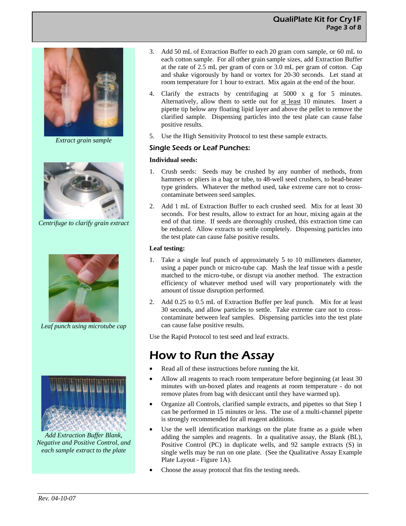

*Extract grain sample*



*Centrifuge to clarify grain extract*



*Leaf punch using microtube cap* 



*Add Extraction Buffer Blank, Negative and Positive Control, and each sample extract to the plate* 

- 3. Add 50 mL of Extraction Buffer to each 20 gram corn sample, or 60 mL to each cotton sample. For all other grain sample sizes, add Extraction Buffer at the rate of 2.5 mL per gram of corn or 3.0 mL per gram of cotton. Cap and shake vigorously by hand or vortex for 20-30 seconds. Let stand at room temperature for 1 hour to extract. Mix again at the end of the hour.
- 4. Clarify the extracts by centrifuging at 5000 x g for 5 minutes. Alternatively, allow them to settle out for at least 10 minutes. Insert a pipette tip below any floating lipid layer and above the pellet to remove the clarified sample. Dispensing particles into the test plate can cause false positive results.
- 5. Use the High Sensitivity Protocol to test these sample extracts.

### Single Seeds or Leaf Punches:

#### **Individual seeds:**

- 1. Crush seeds: Seeds may be crushed by any number of methods, from hammers or pliers in a bag or tube, to 48-well seed crushers, to bead-beater type grinders. Whatever the method used, take extreme care not to crosscontaminate between seed samples.
- 2. Add 1 mL of Extraction Buffer to each crushed seed. Mix for at least 30 seconds. For best results, allow to extract for an hour, mixing again at the end of that time. If seeds are thoroughly crushed, this extraction time can be reduced. Allow extracts to settle completely. Dispensing particles into the test plate can cause false positive results.

### **Leaf testing:**

- 1. Take a single leaf punch of approximately 5 to 10 millimeters diameter, using a paper punch or micro-tube cap. Mash the leaf tissue with a pestle matched to the micro-tube, or disrupt via another method. The extraction efficiency of whatever method used will vary proportionately with the amount of tissue disruption performed.
- 2. Add 0.25 to 0.5 mL of Extraction Buffer per leaf punch. Mix for at least 30 seconds, and allow particles to settle. Take extreme care not to crosscontaminate between leaf samples. Dispensing particles into the test plate can cause false positive results.

Use the Rapid Protocol to test seed and leaf extracts.

# How to Run the Assay

- Read all of these instructions before running the kit.
- Allow all reagents to reach room temperature before beginning (at least 30 minutes with un-boxed plates and reagents at room temperature - do not remove plates from bag with desiccant until they have warmed up).
- Organize all Controls, clarified sample extracts, and pipettes so that Step 1 can be performed in 15 minutes or less. The use of a multi-channel pipette is strongly recommended for all reagent additions.
- Use the well identification markings on the plate frame as a guide when adding the samples and reagents. In a qualitative assay, the Blank (BL), Positive Control (PC) in duplicate wells, and 92 sample extracts (S) in single wells may be run on one plate. (See the Qualitative Assay Example Plate Layout - Figure 1A).
- Choose the assay protocol that fits the testing needs.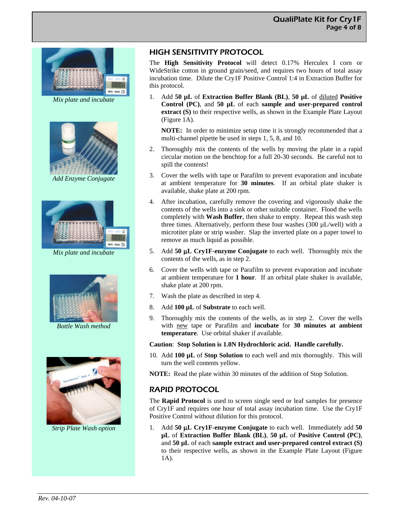

*Mix plate and incubate* 



*Add Enzyme Conjugate* 



*Mix plate and incubate* 



*Bottle Wash method* 



*Strip Plate Wash option* 

# HIGH SENSITIVITY PROTOCOL

The **High Sensitivity Protocol** will detect 0.17% Herculex I corn or WideStrike cotton in ground grain/seed, and requires two hours of total assay incubation time. Dilute the Cry1F Positive Control 1:4 in Extraction Buffer for this protocol.

1. Add **50 µL** of **Extraction Buffer Blank (BL)**, **50 µL** of diluted **Positive Control (PC)**, and **50 µL** of each **sample and user-prepared control extract (S)** to their respective wells, as shown in the Example Plate Layout (Figure 1A).

**NOTE:** In order to minimize setup time it is strongly recommended that a multi-channel pipette be used in steps 1, 5, 8, and 10.

- 2. Thoroughly mix the contents of the wells by moving the plate in a rapid circular motion on the benchtop for a full 20-30 seconds. Be careful not to spill the contents!
- 3. Cover the wells with tape or Parafilm to prevent evaporation and incubate at ambient temperature for **30 minutes**. If an orbital plate shaker is available, shake plate at 200 rpm.
- 4. After incubation, carefully remove the covering and vigorously shake the contents of the wells into a sink or other suitable container. Flood the wells completely with **Wash Buffer**, then shake to empty. Repeat this wash step three times. Alternatively, perform these four washes  $(300 \mu L/well)$  with a microtiter plate or strip washer. Slap the inverted plate on a paper towel to remove as much liquid as possible.
- 5. Add **50** μ**L Cry1F-enzyme Conjugate** to each well. Thoroughly mix the contents of the wells, as in step 2.
- 6. Cover the wells with tape or Parafilm to prevent evaporation and incubate at ambient temperature for **1 hour**. If an orbital plate shaker is available, shake plate at 200 rpm.
- 7. Wash the plate as described in step 4.
- 8. Add **100 µL** of **Substrate** to each well.
- 9. Thoroughly mix the contents of the wells, as in step 2. Cover the wells with new tape or Parafilm and **incubate** for **30 minutes at ambient temperature**. Use orbital shaker if available.

#### **Caution**: **Stop Solution is 1.0N Hydrochloric acid. Handle carefully.**

- 10. Add **100 µL** of **Stop Solution** to each well and mix thoroughly. This will turn the well contents yellow.
- **NOTE:** Read the plate within 30 minutes of the addition of Stop Solution.

# RAPID PROTOCOL

The **Rapid Protocol** is used to screen single seed or leaf samples for presence of Cry1F and requires one hour of total assay incubation time. Use the Cry1F Positive Control without dilution for this protocol.

1. Add **50** μ**L Cry1F-enzyme Conjugate** to each well. Immediately add **50 µL** of **Extraction Buffer Blank (BL)**, **50 µL** of **Positive Control (PC)**, and **50 µL** of each **sample extract and user-prepared control extract (S)** to their respective wells, as shown in the Example Plate Layout (Figure 1A).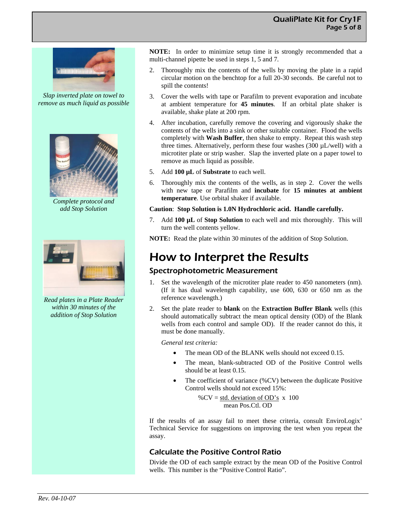

*Slap inverted plate on towel to remove as much liquid as possible* 



*Complete protocol and add Stop Solution* 



*Read plates in a Plate Reader within 30 minutes of the addition of Stop Solution* 

**NOTE:** In order to minimize setup time it is strongly recommended that a multi-channel pipette be used in steps 1, 5 and 7.

- 2. Thoroughly mix the contents of the wells by moving the plate in a rapid circular motion on the benchtop for a full 20-30 seconds. Be careful not to spill the contents!
- 3. Cover the wells with tape or Parafilm to prevent evaporation and incubate at ambient temperature for **45 minutes**. If an orbital plate shaker is available, shake plate at 200 rpm.
- 4. After incubation, carefully remove the covering and vigorously shake the contents of the wells into a sink or other suitable container. Flood the wells completely with **Wash Buffer**, then shake to empty. Repeat this wash step three times. Alternatively, perform these four washes (300 µL/well) with a microtiter plate or strip washer. Slap the inverted plate on a paper towel to remove as much liquid as possible.
- 5. Add **100 µL** of **Substrate** to each well.
- 6. Thoroughly mix the contents of the wells, as in step 2. Cover the wells with new tape or Parafilm and **incubate** for **15 minutes at ambient temperature**. Use orbital shaker if available.

**Caution**: **Stop Solution is 1.0N Hydrochloric acid. Handle carefully.** 

7. Add **100 µL** of **Stop Solution** to each well and mix thoroughly. This will turn the well contents yellow.

**NOTE:** Read the plate within 30 minutes of the addition of Stop Solution.

# How to Interpret the Results

# Spectrophotometric Measurement

- 1. Set the wavelength of the microtiter plate reader to 450 nanometers (nm). (If it has dual wavelength capability, use 600, 630 or 650 nm as the reference wavelength.)
- 2. Set the plate reader to **blank** on the **Extraction Buffer Blank** wells (this should automatically subtract the mean optical density (OD) of the Blank wells from each control and sample OD). If the reader cannot do this, it must be done manually.

*General test criteria:* 

- The mean OD of the BLANK wells should not exceed 0.15.
- The mean, blank-subtracted OD of the Positive Control wells should be at least 0.15.
- The coefficient of variance (%CV) between the duplicate Positive Control wells should not exceed 15%:

% $CV = std. deviation of OD's x 100$ mean Pos.Ctl. OD

If the results of an assay fail to meet these criteria, consult EnviroLogix' Technical Service for suggestions on improving the test when you repeat the assay.

# Calculate the Positive Control Ratio

Divide the OD of each sample extract by the mean OD of the Positive Control wells. This number is the "Positive Control Ratio".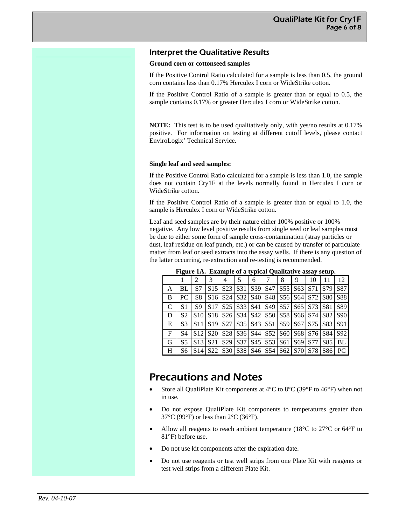### Interpret the Qualitative Results

#### **Ground corn or cottonseed samples**

If the Positive Control Ratio calculated for a sample is less than 0.5, the ground corn contains less than 0.17% Herculex I corn or WideStrike cotton.

If the Positive Control Ratio of a sample is greater than or equal to 0.5, the sample contains 0.17% or greater Herculex I corn or WideStrike cotton.

**NOTE:** This test is to be used qualitatively only, with yes/no results at 0.17% positive. For information on testing at different cutoff levels, please contact EnviroLogix' Technical Service.

#### **Single leaf and seed samples:**

If the Positive Control Ratio calculated for a sample is less than 1.0, the sample does not contain Cry1F at the levels normally found in Herculex I corn or WideStrike cotton.

If the Positive Control Ratio of a sample is greater than or equal to 1.0, the sample is Herculex I corn or WideStrike cotton.

Leaf and seed samples are by their nature either 100% positive or 100% negative. Any low level positive results from single seed or leaf samples must be due to either some form of sample cross-contamination (stray particles or dust, leaf residue on leaf punch, etc.) or can be caused by transfer of particulate matter from leaf or seed extracts into the assay wells. If there is any question of the latter occurring, re-extraction and re-testing is recommended.

| гідше т.ж. Еланіріс от а сурісат Quantative аззау эсійр. |                |                 |                                                                                                                                                                 |                                                                                                                                                                 |     |                                                                                                                             |  |   |                             |    |     |                 |
|----------------------------------------------------------|----------------|-----------------|-----------------------------------------------------------------------------------------------------------------------------------------------------------------|-----------------------------------------------------------------------------------------------------------------------------------------------------------------|-----|-----------------------------------------------------------------------------------------------------------------------------|--|---|-----------------------------|----|-----|-----------------|
|                                                          |                |                 | 3                                                                                                                                                               | 4                                                                                                                                                               | 5   | 6                                                                                                                           |  | 8 | 9                           | 10 |     | 12              |
| A                                                        | BL             | S7              | S15 <sup>1</sup>                                                                                                                                                | S <sub>23</sub>                                                                                                                                                 | S31 |                                                                                                                             |  |   | S39   S47   S55   S63   S71 |    | S79 | S87             |
| B                                                        | <b>PC</b>      | S8              |                                                                                                                                                                 | S <sub>16</sub>   S <sub>24</sub>   S <sub>32</sub>   S <sub>40</sub>   S <sub>48</sub>   S <sub>56</sub>   S <sub>64</sub>   S <sub>72</sub>   S <sub>80</sub> |     |                                                                                                                             |  |   |                             |    |     | S88             |
| <sup>-</sup> C                                           | S <sub>1</sub> | S9              | S <sub>17</sub>                                                                                                                                                 |                                                                                                                                                                 |     | S25   S33   S41   S49   S57   S65   S73   S81                                                                               |  |   |                             |    |     | S89             |
| l D                                                      | S <sub>2</sub> | S10             |                                                                                                                                                                 | S18   S26   S34   S42   S50   S58   S66   S74   S82                                                                                                             |     |                                                                                                                             |  |   |                             |    |     | S <sub>90</sub> |
| E                                                        | S <sub>3</sub> | S11             |                                                                                                                                                                 | S <sub>19</sub> S <sub>27</sub> S <sub>35</sub> S <sub>43</sub> S <sub>51</sub> S <sub>59</sub> S <sub>67</sub> S <sub>75</sub> S <sub>83</sub>                 |     |                                                                                                                             |  |   |                             |    |     | S91             |
| $\overline{F}$                                           | S4             | S12             |                                                                                                                                                                 | S <sub>20</sub> S <sub>28</sub> S <sub>26</sub> S <sub>44</sub> S <sub>52</sub> S <sub>60</sub> S <sub>68</sub> S <sub>76</sub> S <sub>84</sub>                 |     |                                                                                                                             |  |   |                             |    |     | S92             |
| I G                                                      | S <sub>5</sub> | S <sub>13</sub> | S21                                                                                                                                                             |                                                                                                                                                                 |     | S <sub>29</sub>   S <sub>37</sub>   S <sub>45</sub>   S <sub>53</sub>   S <sub>61</sub>   S <sub>69</sub>   S <sub>77</sub> |  |   |                             |    | S85 | BL              |
| - H                                                      | S6             |                 | S <sub>14</sub> S <sub>22</sub> S <sub>30</sub> S <sub>38</sub> S <sub>46</sub> S <sub>54</sub> S <sub>62</sub> S <sub>70</sub> S <sub>78</sub> S <sub>86</sub> |                                                                                                                                                                 |     |                                                                                                                             |  |   |                             |    |     | PC.             |

**Figure 1A. Example of a typical Qualitative assay setup.**

# Precautions and Notes

- Store all QualiPlate Kit components at  $4^{\circ}$ C to  $8^{\circ}$ C (39 $^{\circ}$ F to  $46^{\circ}$ F) when not in use.
- Do not expose QualiPlate Kit components to temperatures greater than 37°C (99°F) or less than 2°C (36°F).
- Allow all reagents to reach ambient temperature (18 $^{\circ}$ C to 27 $^{\circ}$ C or 64 $^{\circ}$ F to 81°F) before use.
- Do not use kit components after the expiration date.
- Do not use reagents or test well strips from one Plate Kit with reagents or test well strips from a different Plate Kit.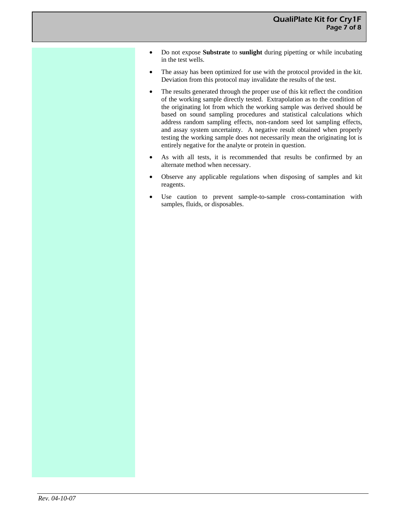- Do not expose **Substrate** to **sunlight** during pipetting or while incubating in the test wells.
- The assay has been optimized for use with the protocol provided in the kit. Deviation from this protocol may invalidate the results of the test.
- The results generated through the proper use of this kit reflect the condition of the working sample directly tested. Extrapolation as to the condition of the originating lot from which the working sample was derived should be based on sound sampling procedures and statistical calculations which address random sampling effects, non-random seed lot sampling effects, and assay system uncertainty. A negative result obtained when properly testing the working sample does not necessarily mean the originating lot is entirely negative for the analyte or protein in question.
- As with all tests, it is recommended that results be confirmed by an alternate method when necessary.
- Observe any applicable regulations when disposing of samples and kit reagents.
- Use caution to prevent sample-to-sample cross-contamination with samples, fluids, or disposables.